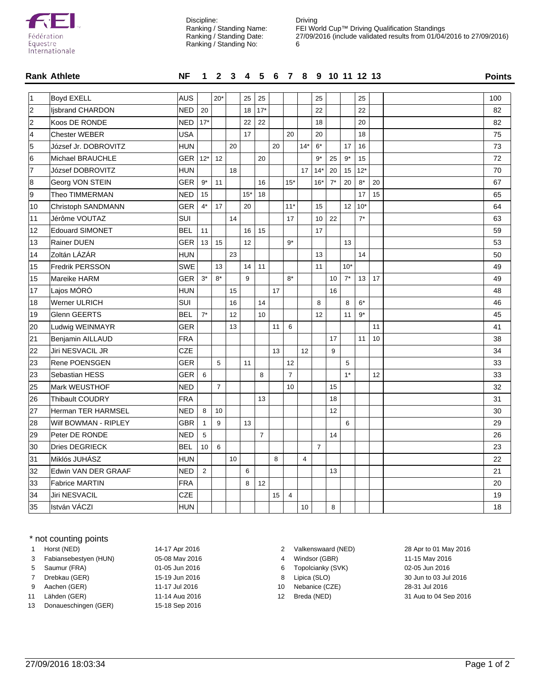

Discipline: Ranking / Standing Name: Ranking / Standing Date: Ranking / Standing No:

Driving FEI World Cup™ Driving Qualification Standings 27/09/2016 (include validated results from 01/04/2016 to 27/09/2016) 

|    | <b>Rank Athlete</b>    | <b>NF</b>  |                | 1 2 3 4 5 6 7 8 9 10 11 12 13 |    |       |                |    |                |                |                |       |       |       |    | <b>Points</b> |
|----|------------------------|------------|----------------|-------------------------------|----|-------|----------------|----|----------------|----------------|----------------|-------|-------|-------|----|---------------|
| 1  | <b>Boyd EXELL</b>      | <b>AUS</b> |                | $20*$                         |    | 25    | 25             |    |                |                | 25             |       |       | 25    |    | 100           |
| 2  | Ijsbrand CHARDON       | <b>NED</b> | 20             |                               |    | 18    | $17*$          |    |                |                | 22             |       |       | 22    |    | 82            |
| 2  | Koos DE RONDE          | <b>NED</b> | $17*$          |                               |    | 22    | 22             |    |                |                | 18             |       |       | 20    |    | 82            |
| 4  | <b>Chester WEBER</b>   | <b>USA</b> |                |                               |    | 17    |                |    | 20             |                | 20             |       |       | 18    |    | 75            |
| 5  | József Jr. DOBROVITZ   | <b>HUN</b> |                |                               | 20 |       |                | 20 |                | $14*$          | $6*$           |       | 17    | 16    |    | 73            |
| 6  | Michael BRAUCHLE       | GER I      | $12*$          | 12                            |    |       | 20             |    |                |                | $9*$           | 25    | $9*$  | 15    |    | 72            |
| 7  | József DOBROVITZ       | <b>HUN</b> |                |                               | 18 |       |                |    |                | 17             | $14*$          | 20    | 15    | $12*$ |    | 70            |
| 8  | Georg VON STEIN        | <b>GER</b> | $9^{\star}$    | 11                            |    |       | 16             |    | $15*$          |                | $16*$          | $7^*$ | 20    | 8*    | 20 | 67            |
| 9  | Theo TIMMERMAN         | <b>NED</b> | 15             |                               |    | $15*$ | 18             |    |                |                |                |       |       | 17    | 15 | 65            |
| 10 | Christoph SANDMANN     | <b>GER</b> | $4^*$          | 17                            |    | 20    |                |    | $11*$          |                | 15             |       | 12    | $10*$ |    | 64            |
| 11 | Jérôme VOUTAZ          | SUI        |                |                               | 14 |       |                |    | 17             |                | 10             | 22    |       | $7^*$ |    | 63            |
| 12 | <b>Edouard SIMONET</b> | <b>BEL</b> | 11             |                               |    | 16    | 15             |    |                |                | 17             |       |       |       |    | 59            |
| 13 | Rainer DUEN            | <b>GER</b> | 13             | 15                            |    | 12    |                |    | $9*$           |                |                |       | 13    |       |    | 53            |
| 14 | Zoltán LÁZÁR           | <b>HUN</b> |                |                               | 23 |       |                |    |                |                | 13             |       |       | 14    |    | 50            |
| 15 | Fredrik PERSSON        | SWE        |                | 13                            |    | 14    | 11             |    |                |                | 11             |       | $10*$ |       |    | 49            |
| 15 | Mareike HARM           | <b>GER</b> | $3^*$          | $8*$                          |    | 9     |                |    | $8*$           |                |                | 10    | $7^*$ | 13    | 17 | 49            |
| 17 | Lajos MÓRÓ             | <b>HUN</b> |                |                               | 15 |       |                | 17 |                |                |                | 16    |       |       |    | 48            |
| 18 | Werner ULRICH          | <b>SUI</b> |                |                               | 16 |       | 14             |    |                |                | 8              |       | 8     | $6*$  |    | 46            |
| 19 | Glenn GEERTS           | <b>BEL</b> | $7^*$          |                               | 12 |       | 10             |    |                |                | 12             |       | 11    | $9*$  |    | 45            |
| 20 | Ludwig WEINMAYR        | GER        |                |                               | 13 |       |                | 11 | 6              |                |                |       |       |       | 11 | 41            |
| 21 | Benjamin AILLAUD       | <b>FRA</b> |                |                               |    |       |                |    |                |                |                | 17    |       | 11    | 10 | 38            |
| 22 | Jiri NESVACIL JR       | <b>CZE</b> |                |                               |    |       |                | 13 |                | 12             |                | 9     |       |       |    | 34            |
| 23 | Rene POENSGEN          | <b>GER</b> |                | 5                             |    | 11    |                |    | 12             |                |                |       | 5     |       |    | 33            |
| 23 | Sebastian HESS         | <b>GER</b> | 6              |                               |    |       | 8              |    | $\overline{7}$ |                |                |       | $1*$  |       | 12 | 33            |
| 25 | Mark WEUSTHOF          | <b>NED</b> |                | $\overline{7}$                |    |       |                |    | 10             |                |                | 15    |       |       |    | 32            |
| 26 | <b>Thibault COUDRY</b> | <b>FRA</b> |                |                               |    |       | 13             |    |                |                |                | 18    |       |       |    | 31            |
| 27 | Herman TER HARMSEL     | <b>NED</b> | 8              | 10                            |    |       |                |    |                |                |                | 12    |       |       |    | 30            |
| 28 | Wilf BOWMAN - RIPLEY   | <b>GBR</b> | $\mathbf{1}$   | 9                             |    | 13    |                |    |                |                |                |       | 6     |       |    | 29            |
| 29 | Peter DE RONDE         | <b>NED</b> | 5              |                               |    |       | $\overline{7}$ |    |                |                |                | 14    |       |       |    | 26            |
| 30 | Dries DEGRIECK         | <b>BEL</b> | 10             | 6                             |    |       |                |    |                |                | $\overline{7}$ |       |       |       |    | 23            |
| 31 | Miklós JUHÁSZ          | <b>HUN</b> |                |                               | 10 |       |                | 8  |                | $\overline{4}$ |                |       |       |       |    | 22            |
| 32 | Edwin VAN DER GRAAF    | <b>NED</b> | $\overline{2}$ |                               |    | 6     |                |    |                |                |                | 13    |       |       |    | 21            |
| 33 | <b>Fabrice MARTIN</b>  | <b>FRA</b> |                |                               |    | 8     | 12             |    |                |                |                |       |       |       |    | 20            |
| 34 | Jiri NESVACIL          | <b>CZE</b> |                |                               |    |       |                | 15 | $\overline{4}$ |                |                |       |       |       |    | 19            |
| 35 | István VÁCZI           | <b>HUN</b> |                |                               |    |       |                |    |                | 10             |                | 8     |       |       |    | 18            |

## \* not counting points

|    | Horst (NED)           | 14-17 Apr 2016 |
|----|-----------------------|----------------|
| 3  | Fabiansebestyen (HUN) | 05-08 May 2016 |
| 5  | Saumur (FRA)          | 01-05 Jun 2016 |
| 7  | Drebkau (GER)         | 15-19 Jun 2016 |
| 9  | Aachen (GER)          | 11-17 Jul 2016 |
| 11 | Lähden (GER)          | 11-14 Aug 2016 |
| 13 | Donaueschingen (GER)  | 15-18 Sep 2016 |
|    |                       |                |

2 Valkenswaard (NED) 28 Apr to 01 May 2016

- 4 Windsor (GBR) 11-15 May 2016
- 6 Topolcianky (SVK) 02-05 Jun 2016
- 
- 
- 

8 Lipica (SLO) 15-19 30 Jun to 03 Jul 2016 10 Nebanice (CZE) 28-31 Jul 2016 12 Breda (NED) 31 Aug to 04 Sep 2016